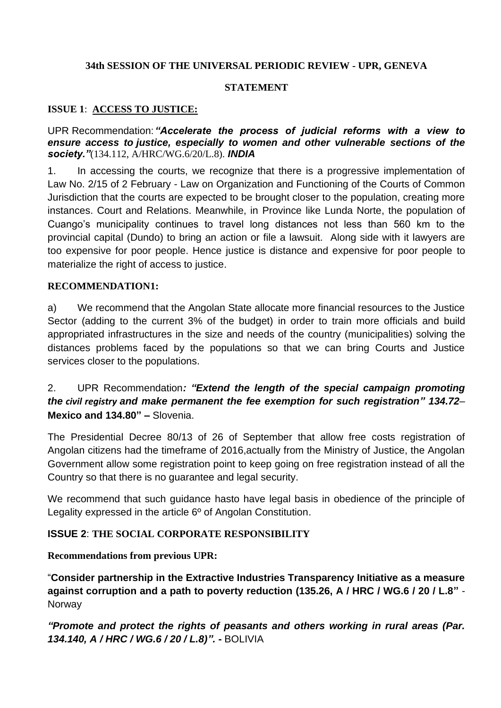### **34th SESSION OF THE UNIVERSAL PERIODIC REVIEW - UPR, GENEVA**

## **STATEMENT**

## **ISSUE 1**: **ACCESS TO JUSTICE:**

UPR Recommendation: *"Accelerate the process of judicial reforms with a view to ensure access to justice, especially to women and other vulnerable sections of the society."*(134.112, A/HRC/WG.6/20/L.8). *INDIA*

1. In accessing the courts, we recognize that there is a progressive implementation of Law No. 2/15 of 2 February - Law on Organization and Functioning of the Courts of Common Jurisdiction that the courts are expected to be brought closer to the population, creating more instances. Court and Relations. Meanwhile, in Province like Lunda Norte, the population of Cuango's municipality continues to travel long distances not less than 560 km to the provincial capital (Dundo) to bring an action or file a lawsuit. Along side with it lawyers are too expensive for poor people. Hence justice is distance and expensive for poor people to materialize the right of access to justice.

#### **RECOMMENDATION1:**

a) We recommend that the Angolan State allocate more financial resources to the Justice Sector (adding to the current 3% of the budget) in order to train more officials and build appropriated infrastructures in the size and needs of the country (municipalities) solving the distances problems faced by the populations so that we can bring Courts and Justice services closer to the populations.

# 2. UPR Recommendation*: "Extend the length of the special campaign promoting the civil registry and make permanent the fee exemption for such registration" 134.72*– **Mexico and 134.80" –** Slovenia.

The Presidential Decree 80/13 of 26 of September that allow free costs registration of Angolan citizens had the timeframe of 2016,actually from the Ministry of Justice, the Angolan Government allow some registration point to keep going on free registration instead of all the Country so that there is no guarantee and legal security.

We recommend that such guidance hasto have legal basis in obedience of the principle of Legality expressed in the article 6º of Angolan Constitution.

### **ISSUE 2**: **THE SOCIAL CORPORATE RESPONSIBILITY**

### **Recommendations from previous UPR:**

"**Consider partnership in the Extractive Industries Transparency Initiative as a measure against corruption and a path to poverty reduction (135.26, A / HRC / WG.6 / 20 / L.8"** - **Norway** 

*"Promote and protect the rights of peasants and others working in rural areas (Par. 134.140, A / HRC / WG.6 / 20 / L.8)".* **-** BOLIVIA